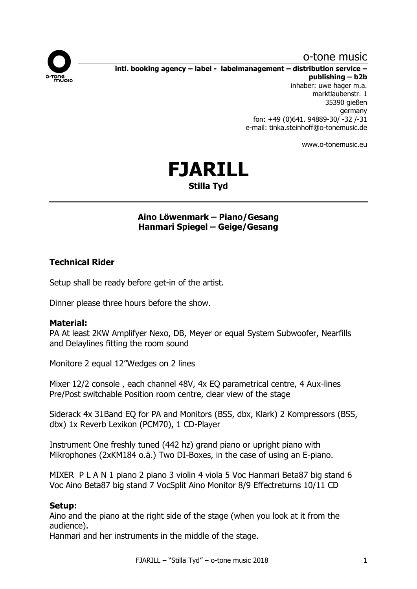# o-tone music



**intl. booking agency – label - labelmanagement – distribution service – publishing – b2b**

inhaber: uwe hager m.a. marktlaubenstr. 1 35390 gießen germany fon: +49 (0)641. 94889-30/ -32 /-31 e-mail: tinka.steinhoff@o-tonemusic.de

www.o-tonemusic.eu



## **Aino Löwenmark – Piano/Gesang Hanmari Spiegel – Geige/Gesang**

### **Technical Rider**

Setup shall be ready before get-in of the artist.

Dinner please three hours before the show.

### **Material:**

PA At least 2KW Amplifyer Nexo, DB, Meyer or equal System Subwoofer, Nearfills and Delaylines fitting the room sound

Monitore 2 equal 12"Wedges on 2 lines

Mixer 12/2 console , each channel 48V, 4x EQ parametrical centre, 4 Aux-lines Pre/Post switchable Position room centre, clear view of the stage

Siderack 4x 31Band EQ for PA and Monitors (BSS, dbx, Klark) 2 Kompressors (BSS, dbx) 1x Reverb Lexikon (PCM70), 1 CD-Player

Instrument One freshly tuned (442 hz) grand piano or upright piano with Mikrophones (2xKM184 o.ä.) Two DI-Boxes, in the case of using an E-piano.

MIXER P L A N 1 piano 2 piano 3 violin 4 viola 5 Voc Hanmari Beta87 big stand 6 Voc Aino Beta87 big stand 7 VocSplit Aino Monitor 8/9 Effectreturns 10/11 CD

### **Setup:**

Aino and the piano at the right side of the stage (when you look at it from the audience).

Hanmari and her instruments in the middle of the stage.